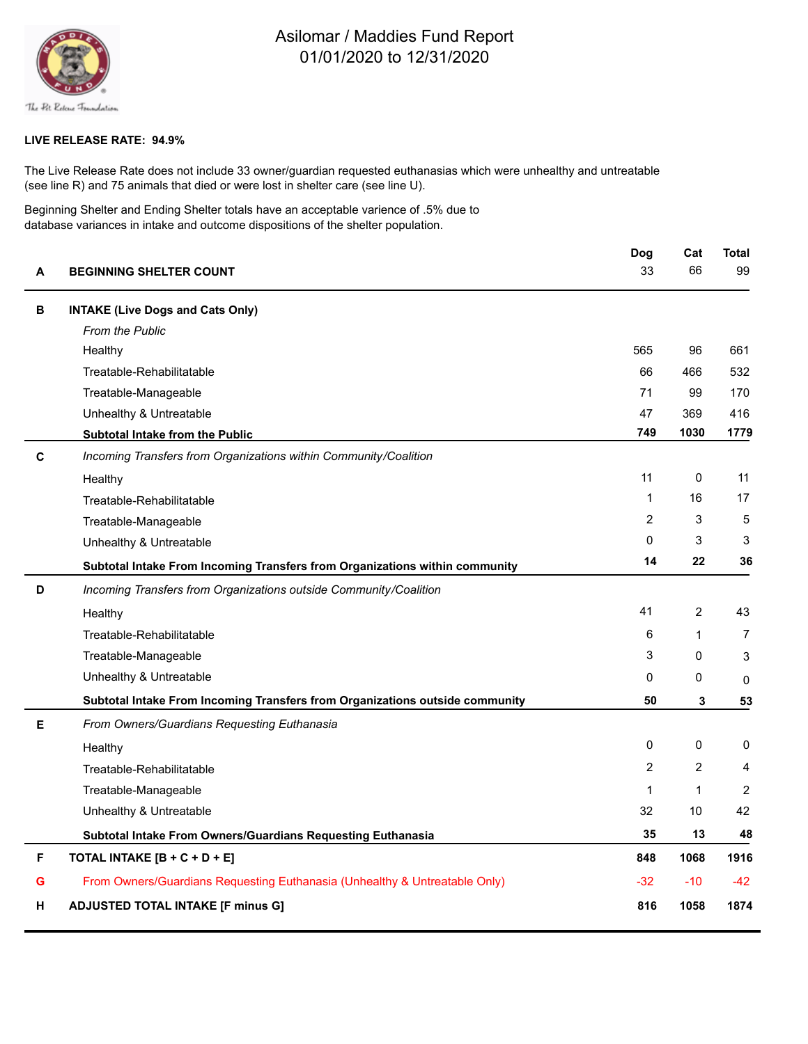

## Asilomar / Maddies Fund Report 01/01/2020 to 12/31/2020

## **LIVE RELEASE RATE: 94.9%**

The Live Release Rate does not include 33 owner/guardian requested euthanasias which were unhealthy and untreatable (see line R) and 75 animals that died or were lost in shelter care (see line U).

Beginning Shelter and Ending Shelter totals have an acceptable varience of .5% due to database variances in intake and outcome dispositions of the shelter population.

| A | <b>BEGINNING SHELTER COUNT</b>                                               | Dog            | Cat            | <b>Total</b>   |
|---|------------------------------------------------------------------------------|----------------|----------------|----------------|
|   |                                                                              | 33             | 66             | 99             |
| в | <b>INTAKE (Live Dogs and Cats Only)</b>                                      |                |                |                |
|   | <b>From the Public</b>                                                       |                |                |                |
|   | Healthy                                                                      | 565            | 96             | 661            |
|   | Treatable-Rehabilitatable                                                    | 66             | 466            | 532            |
|   | Treatable-Manageable                                                         | 71             | 99             | 170            |
|   | Unhealthy & Untreatable                                                      | 47             | 369            | 416            |
|   | <b>Subtotal Intake from the Public</b>                                       | 749            | 1030           | 1779           |
| С | Incoming Transfers from Organizations within Community/Coalition             |                |                |                |
|   | Healthy                                                                      | 11             | 0              | 11             |
|   | Treatable-Rehabilitatable                                                    | 1              | 16             | 17             |
|   | Treatable-Manageable                                                         | $\overline{2}$ | 3              | 5              |
|   | Unhealthy & Untreatable                                                      | 0              | 3              | 3              |
|   | Subtotal Intake From Incoming Transfers from Organizations within community  | 14             | 22             | 36             |
| D | Incoming Transfers from Organizations outside Community/Coalition            |                |                |                |
|   | Healthy                                                                      | 41             | $\overline{2}$ | 43             |
|   | Treatable-Rehabilitatable                                                    | 6              | $\mathbf{1}$   | $\overline{7}$ |
|   | Treatable-Manageable                                                         | 3              | $\Omega$       | 3              |
|   | Unhealthy & Untreatable                                                      | 0              | 0              | 0              |
|   | Subtotal Intake From Incoming Transfers from Organizations outside community | 50             | 3              | 53             |
| E | From Owners/Guardians Requesting Euthanasia                                  |                |                |                |
|   | Healthy                                                                      | 0              | $\Omega$       | 0              |
|   | Treatable-Rehabilitatable                                                    | $\overline{2}$ | 2              | 4              |
|   | Treatable-Manageable                                                         | 1              | $\mathbf{1}$   | 2              |
|   | Unhealthy & Untreatable                                                      | 32             | 10             | 42             |
|   | Subtotal Intake From Owners/Guardians Requesting Euthanasia                  | 35             | 13             | 48             |
| F | TOTAL INTAKE [B + C + D + E]                                                 | 848            | 1068           | 1916           |
| G | From Owners/Guardians Requesting Euthanasia (Unhealthy & Untreatable Only)   | -32            | $-10$          | $-42$          |
| н | <b>ADJUSTED TOTAL INTAKE [F minus G]</b>                                     | 816            | 1058           | 1874           |
|   |                                                                              |                |                |                |